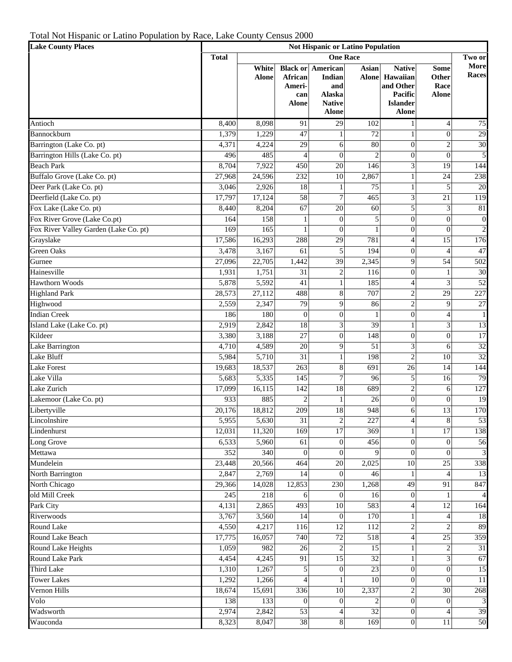Total Not Hispanic or Latino Population by Race, Lake County Census 2000

| <b>Lake County Places</b>                   |                  | <b>Not Hispanic or Latino Population</b> |                                                      |                                                                      |                       |                                                                                      |                                              |                         |  |  |
|---------------------------------------------|------------------|------------------------------------------|------------------------------------------------------|----------------------------------------------------------------------|-----------------------|--------------------------------------------------------------------------------------|----------------------------------------------|-------------------------|--|--|
|                                             | <b>Total</b>     | <b>One Race</b><br>Two or                |                                                      |                                                                      |                       |                                                                                      |                                              |                         |  |  |
|                                             |                  | White<br><b>Alone</b>                    | <b>Black or</b><br>African<br>Ameri-<br>can<br>Alone | American<br>Indian<br>and<br>Alaska<br><b>Native</b><br><b>Alone</b> | Asian<br><b>Alone</b> | <b>Native</b><br>Hawaiian<br>and Other<br>Pacific<br><b>Islander</b><br><b>Alone</b> | <b>Some</b><br>Other<br>Race<br><b>Alone</b> | More<br>Races           |  |  |
|                                             |                  |                                          |                                                      |                                                                      |                       |                                                                                      |                                              |                         |  |  |
|                                             |                  |                                          |                                                      |                                                                      |                       |                                                                                      |                                              |                         |  |  |
|                                             |                  |                                          |                                                      |                                                                      |                       |                                                                                      |                                              |                         |  |  |
| Antioch                                     | 8,400            | 8,098                                    | 91                                                   | 29                                                                   | 102                   | 1                                                                                    | 4                                            | 75                      |  |  |
| Bannockburn                                 | 1,379            | 1,229                                    | 47                                                   | $\mathbf{1}$                                                         | 72                    | 1                                                                                    | $\overline{0}$                               | 29                      |  |  |
| Barrington (Lake Co. pt)                    | 4,371            | 4,224                                    | 29                                                   | 6                                                                    | 80                    | $\mathbf{0}$                                                                         | $\overline{c}$                               | 30                      |  |  |
| Barrington Hills (Lake Co. pt)              | 496              | 485                                      | $\overline{4}$                                       | $\overline{0}$                                                       | $\overline{2}$        | $\overline{0}$                                                                       | $\overline{0}$                               | $\sqrt{5}$              |  |  |
| <b>Beach Park</b>                           | 8,704            | 7,922                                    | 450                                                  | 20                                                                   | 146                   | 3                                                                                    | 19                                           | 144                     |  |  |
| Buffalo Grove (Lake Co. pt)                 | 27,968           | 24,596                                   | 232                                                  | $\overline{10}$                                                      | 2,867                 | $\mathbf{1}$                                                                         | $\overline{24}$                              | 238                     |  |  |
| Deer Park (Lake Co. pt)                     | 3,046            | 2,926                                    | $\overline{18}$                                      | 1                                                                    | 75                    | 1                                                                                    | 5                                            | 20                      |  |  |
| Deerfield (Lake Co. pt)                     | 17,797           | 17,124                                   | 58                                                   | $\overline{7}$                                                       | 465                   | 3                                                                                    | 21                                           | 119                     |  |  |
| Fox Lake (Lake Co. pt)                      | 8,440            | 8,204                                    | 67                                                   | 20                                                                   | 60                    | 5                                                                                    | 3                                            | 81                      |  |  |
| Fox River Grove (Lake Co.pt)                | 164              | 158                                      | $\mathbf{1}$                                         | $\overline{0}$                                                       | 5                     | $\overline{0}$                                                                       | $\boldsymbol{0}$                             | $\boldsymbol{0}$        |  |  |
| Fox River Valley Garden (Lake Co. pt)       | 169              | 165                                      |                                                      | $\overline{0}$                                                       |                       | $\overline{0}$                                                                       | $\mathbf{0}$                                 | $\overline{c}$          |  |  |
| Grayslake                                   | 17,586           | 16,293                                   | 288                                                  | 29                                                                   | 781                   | $\overline{4}$                                                                       | $\overline{15}$                              | 176                     |  |  |
| <b>Green Oaks</b>                           | 3,478            | 3,167                                    | 61                                                   | 5                                                                    | 194                   | $\overline{0}$                                                                       | $\overline{4}$                               | 47                      |  |  |
| Gurnee                                      | 27,096           | 22,705                                   | 1,442                                                | 39                                                                   | 2,345                 | 9                                                                                    | $\overline{54}$                              | 502                     |  |  |
| Hainesville                                 | 1,931            | 1,751                                    | 31                                                   | $\overline{c}$                                                       | 116                   | $\overline{0}$                                                                       | $\mathbf 1$                                  | 30                      |  |  |
| Hawthorn Woods                              | 5,878            | 5,592                                    | 41                                                   | $\mathbf{1}$                                                         | 185                   | $\overline{4}$                                                                       | 3                                            | 52                      |  |  |
| <b>Highland Park</b>                        | 28,573           | 27,112                                   | 488                                                  | 8                                                                    | 707                   | $\overline{c}$                                                                       | 29                                           | 227                     |  |  |
| Highwood                                    | 2,559            | 2,347                                    | 79                                                   | 9                                                                    | 86                    | $\overline{c}$                                                                       | 9                                            | $27\,$                  |  |  |
| <b>Indian Creek</b>                         | 186              | 180                                      | $\overline{0}$                                       | $\overline{0}$                                                       | $\mathbf{1}$          | $\overline{0}$                                                                       | $\overline{\mathcal{L}}$                     | $\mathbf{1}$            |  |  |
| Island Lake (Lake Co. pt)                   | 2,919            | 2,842                                    | $\overline{18}$                                      | 3                                                                    | 39                    | 1                                                                                    | 3                                            | 13                      |  |  |
| Kildeer                                     | 3,380            | 3,188                                    | 27                                                   | $\overline{0}$                                                       | 148                   | $\mathbf{0}$                                                                         | $\boldsymbol{0}$                             | $17\,$                  |  |  |
| Lake Barrington                             | 4,710            | 4,589                                    | 20                                                   | 9                                                                    | 51                    | 3                                                                                    | 6                                            | 32                      |  |  |
| Lake Bluff                                  | 5,984            | 5,710                                    | 31                                                   | 1                                                                    | 198                   | $\overline{c}$                                                                       | 10                                           | 32                      |  |  |
| <b>Lake Forest</b>                          | 19,683           | 18,537                                   | 263                                                  | 8                                                                    | 691                   | 26                                                                                   | 14                                           | 144                     |  |  |
| Lake Villa                                  | 5,683            | 5,335                                    | 145                                                  | $\overline{7}$                                                       | 96                    | 5                                                                                    | 16                                           | 79                      |  |  |
| Lake Zurich                                 | 17,099           | 16,115                                   | 142                                                  | 18                                                                   | 689                   | $\overline{c}$                                                                       | 6                                            | 127                     |  |  |
| Lakemoor (Lake Co. pt)                      | 933              | 885                                      | $\overline{c}$                                       | $\mathbf{1}$                                                         | 26                    | $\overline{0}$                                                                       | $\boldsymbol{0}$                             | 19                      |  |  |
| Libertyville                                | 20,176           | 18,812                                   | 209                                                  | 18                                                                   | 948                   | 6                                                                                    | $\overline{13}$                              | 170                     |  |  |
| Lincolnshire                                | 5,955            | 5,630                                    | 31                                                   | $\overline{\mathbf{c}}$                                              | 227                   | 4                                                                                    | 8                                            | 53                      |  |  |
| Lindenhurst                                 | 12,031           | 11,320                                   | 169                                                  | $\overline{17}$                                                      | 369                   | $\mathbf{1}$                                                                         | 17                                           | 138                     |  |  |
| Long Grove                                  | 6,533            | 5,960                                    | 61                                                   | $\mathbf{0}$                                                         | 456                   | $\overline{0}$                                                                       | $\boldsymbol{0}$                             | 56                      |  |  |
| Mettawa                                     | 352              | 340                                      | $\overline{0}$                                       | $\overline{0}$                                                       | Q                     | $\theta$                                                                             | $\overline{0}$                               | $\overline{3}$          |  |  |
| Mundelein                                   | 23,448           | 20,566                                   | 464                                                  | 20                                                                   | 2,025                 | 10                                                                                   | 25                                           | 338                     |  |  |
| North Barrington                            | 2,847            | 2,769                                    | 14                                                   | $\overline{0}$                                                       | 46                    | 1                                                                                    | $\overline{4}$                               | 13                      |  |  |
| North Chicago                               | 29,366           | 14,028                                   | 12,853                                               | 230                                                                  | 1,268                 | 49                                                                                   | 91                                           | 847                     |  |  |
| old Mill Creek                              | $\overline{245}$ | 218                                      | 6                                                    | $\overline{0}$                                                       | 16                    | $\theta$                                                                             | $\mathbf{1}$                                 | $\overline{\mathbf{A}}$ |  |  |
| Park City                                   | 4,131            | 2,865                                    | 493                                                  | 10                                                                   | 583                   | 4                                                                                    | 12                                           | 164                     |  |  |
| Riverwoods                                  | 3,767            | 3,560                                    | 14                                                   | $\theta$                                                             | 170                   | 1                                                                                    | $\overline{4}$                               | 18                      |  |  |
| Round Lake                                  | 4,550            | 4,217                                    | 116                                                  | 12                                                                   | 112                   | $\overline{c}$                                                                       | $\overline{c}$                               | 89                      |  |  |
| Round Lake Beach                            | 17,775           | 16,057<br>982                            | 740                                                  | 72                                                                   | 518                   | $\overline{4}$                                                                       | 25                                           | 359                     |  |  |
| Round Lake Heights                          | 1,059            |                                          | 26                                                   | $\overline{c}$                                                       | 15                    | 1                                                                                    | $\overline{c}$                               | 31                      |  |  |
| <b>Round Lake Park</b><br><b>Third Lake</b> | 4,454            | 4,245                                    | 91                                                   | $\overline{15}$                                                      | 32<br>$\overline{23}$ | 1                                                                                    | 3                                            | 67                      |  |  |
| <b>Tower Lakes</b>                          | 1,310<br>1,292   | 1,267                                    | 5                                                    | $\boldsymbol{0}$                                                     |                       | $\boldsymbol{0}$                                                                     | $\boldsymbol{0}$                             | 15                      |  |  |
| Vernon Hills                                | 18,674           | 1,266<br>15,691                          | $\overline{4}$<br>336                                | 1<br>10                                                              | 10<br>2,337           | $\boldsymbol{0}$                                                                     | $\boldsymbol{0}$<br>30                       | $11\,$<br>268           |  |  |
| Volo                                        | 138              | 133                                      | $\overline{0}$                                       | $\Omega$                                                             |                       | $\sqrt{2}$<br>$\overline{0}$                                                         | $\boldsymbol{0}$                             | $\sqrt{3}$              |  |  |
| Wadsworth                                   | 2,974            | 2,842                                    | 53                                                   | $\overline{4}$                                                       | 32                    | $\overline{0}$                                                                       | $\overline{4}$                               | 39                      |  |  |
| Wauconda                                    | 8,323            | 8,047                                    | 38                                                   | 8                                                                    | 169                   | $\theta$                                                                             | 11                                           | 50                      |  |  |
|                                             |                  |                                          |                                                      |                                                                      |                       |                                                                                      |                                              |                         |  |  |